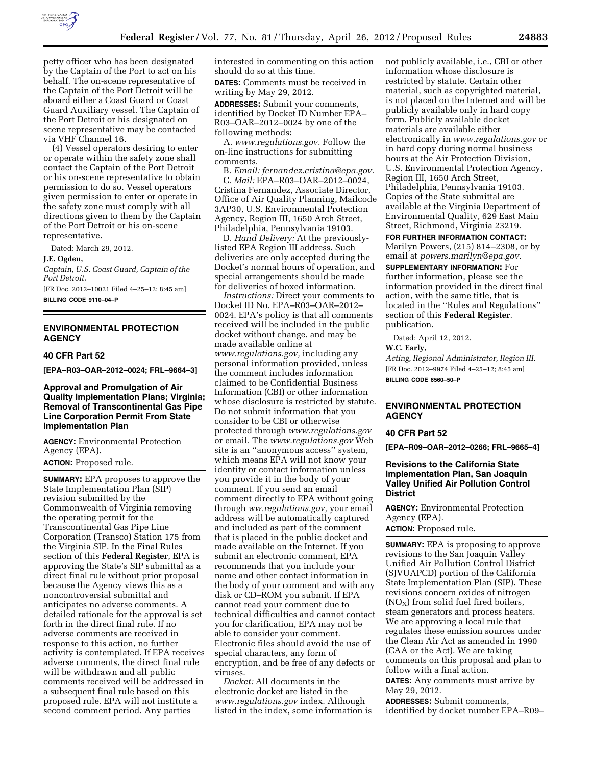

petty officer who has been designated by the Captain of the Port to act on his behalf. The on-scene representative of the Captain of the Port Detroit will be aboard either a Coast Guard or Coast Guard Auxiliary vessel. The Captain of the Port Detroit or his designated on scene representative may be contacted via VHF Channel 16.

(4) Vessel operators desiring to enter or operate within the safety zone shall contact the Captain of the Port Detroit or his on-scene representative to obtain permission to do so. Vessel operators given permission to enter or operate in the safety zone must comply with all directions given to them by the Captain of the Port Detroit or his on-scene representative.

Dated: March 29, 2012.

#### **J.E. Ogden,**

*Captain, U.S. Coast Guard, Captain of the Port Detroit.* 

[FR Doc. 2012–10021 Filed 4–25–12; 8:45 am] **BILLING CODE 9110–04–P** 

# **ENVIRONMENTAL PROTECTION AGENCY**

#### **40 CFR Part 52**

**[EPA–R03–OAR–2012–0024; FRL–9664–3]** 

## **Approval and Promulgation of Air Quality Implementation Plans; Virginia; Removal of Transcontinental Gas Pipe Line Corporation Permit From State Implementation Plan**

**AGENCY:** Environmental Protection Agency (EPA). **ACTION:** Proposed rule.

**SUMMARY:** EPA proposes to approve the State Implementation Plan (SIP) revision submitted by the Commonwealth of Virginia removing the operating permit for the Transcontinental Gas Pipe Line Corporation (Transco) Station 175 from the Virginia SIP. In the Final Rules section of this **Federal Register**, EPA is approving the State's SIP submittal as a direct final rule without prior proposal because the Agency views this as a noncontroversial submittal and anticipates no adverse comments. A detailed rationale for the approval is set forth in the direct final rule. If no adverse comments are received in response to this action, no further activity is contemplated. If EPA receives adverse comments, the direct final rule will be withdrawn and all public comments received will be addressed in a subsequent final rule based on this proposed rule. EPA will not institute a second comment period. Any parties

interested in commenting on this action should do so at this time. **DATES:** Comments must be received in writing by May 29, 2012. **ADDRESSES:** Submit your comments, identified by Docket ID Number EPA–

R03–OAR–2012–0024 by one of the following methods:

A. *[www.regulations.gov.](http://www.regulations.gov)* Follow the on-line instructions for submitting comments.

B. *Email: [fernandez.cristina@epa.gov.](mailto:fernandez.cristina@epa.gov)*  C. *Mail:* EPA–R03–OAR–2012–0024, Cristina Fernandez, Associate Director, Office of Air Quality Planning, Mailcode 3AP30, U.S. Environmental Protection Agency, Region III, 1650 Arch Street, Philadelphia, Pennsylvania 19103.

D. *Hand Delivery:* At the previouslylisted EPA Region III address. Such deliveries are only accepted during the Docket's normal hours of operation, and special arrangements should be made for deliveries of boxed information.

*Instructions:* Direct your comments to Docket ID No. EPA–R03–OAR–2012– 0024. EPA's policy is that all comments received will be included in the public docket without change, and may be made available online at *[www.regulations.gov,](http://www.regulations.gov)* including any personal information provided, unless the comment includes information claimed to be Confidential Business Information (CBI) or other information whose disclosure is restricted by statute. Do not submit information that you consider to be CBI or otherwise protected through *[www.regulations.gov](http://www.regulations.gov)*  or email. The *[www.regulations.gov](http://www.regulations.gov)* Web site is an ''anonymous access'' system, which means EPA will not know your identity or contact information unless you provide it in the body of your comment. If you send an email comment directly to EPA without going through *ww.regulations.gov,* your email address will be automatically captured and included as part of the comment that is placed in the public docket and made available on the Internet. If you submit an electronic comment, EPA recommends that you include your name and other contact information in the body of your comment and with any disk or CD–ROM you submit. If EPA cannot read your comment due to technical difficulties and cannot contact you for clarification, EPA may not be able to consider your comment. Electronic files should avoid the use of special characters, any form of encryption, and be free of any defects or viruses.

*Docket:* All documents in the electronic docket are listed in the *[www.regulations.gov](http://www.regulations.gov)* index. Although listed in the index, some information is

not publicly available, i.e., CBI or other information whose disclosure is restricted by statute. Certain other material, such as copyrighted material, is not placed on the Internet and will be publicly available only in hard copy form. Publicly available docket materials are available either electronically in *[www.regulations.gov](http://www.regulations.gov)* or in hard copy during normal business hours at the Air Protection Division, U.S. Environmental Protection Agency, Region III, 1650 Arch Street, Philadelphia, Pennsylvania 19103. Copies of the State submittal are available at the Virginia Department of Environmental Quality, 629 East Main Street, Richmond, Virginia 23219.

### **FOR FURTHER INFORMATION CONTACT:**

Marilyn Powers, (215) 814–2308, or by email at *[powers.marilyn@epa.gov.](mailto:powers.marilyn@epa.gov)* 

**SUPPLEMENTARY INFORMATION:** For further information, please see the information provided in the direct final action, with the same title, that is located in the ''Rules and Regulations'' section of this **Federal Register**.

publication.

Dated: April 12, 2012.

#### **W.C. Early,**

*Acting, Regional Administrator, Region III.*  [FR Doc. 2012–9974 Filed 4–25–12; 8:45 am] **BILLING CODE 6560–50–P** 

### **ENVIRONMENTAL PROTECTION AGENCY**

#### **40 CFR Part 52**

**[EPA–R09–OAR–2012–0266; FRL–9665–4]** 

## **Revisions to the California State Implementation Plan, San Joaquin Valley Unified Air Pollution Control District**

**AGENCY:** Environmental Protection Agency (EPA). **ACTION:** Proposed rule.

**SUMMARY:** EPA is proposing to approve revisions to the San Joaquin Valley Unified Air Pollution Control District (SJVUAPCD) portion of the California State Implementation Plan (SIP). These revisions concern oxides of nitrogen  $(NO<sub>X</sub>)$  from solid fuel fired boilers, steam generators and process heaters. We are approving a local rule that regulates these emission sources under the Clean Air Act as amended in 1990 (CAA or the Act). We are taking comments on this proposal and plan to follow with a final action. **DATES:** Any comments must arrive by

May 29, 2012.

**ADDRESSES:** Submit comments, identified by docket number EPA–R09–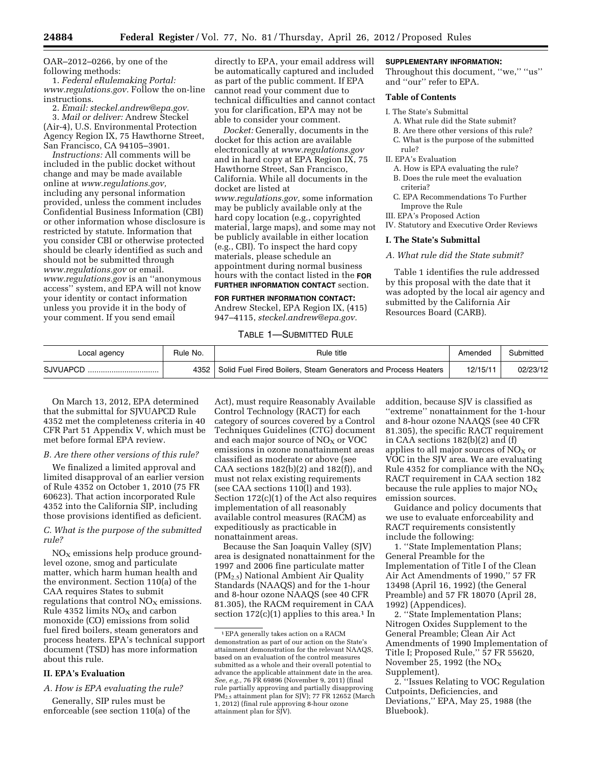OAR–2012–0266, by one of the following methods:

1. *Federal eRulemaking Portal: [www.regulations.gov.](http://www.regulations.gov)* Follow the on-line instructions.

2. *Email: [steckel.andrew@epa.gov.](mailto:steckel.andrew@epa.gov)*  3. *Mail or deliver:* Andrew Steckel (Air-4), U.S. Environmental Protection Agency Region IX, 75 Hawthorne Street, San Francisco, CA 94105–3901.

*Instructions:* All comments will be included in the public docket without change and may be made available online at *[www.regulations.gov,](http://www.regulations.gov)*  including any personal information provided, unless the comment includes Confidential Business Information (CBI) or other information whose disclosure is restricted by statute. Information that you consider CBI or otherwise protected should be clearly identified as such and should not be submitted through *[www.regulations.gov](http://www.regulations.gov)* or email. *[www.regulations.gov](http://www.regulations.gov)* is an ''anonymous access'' system, and EPA will not know your identity or contact information unless you provide it in the body of your comment. If you send email

directly to EPA, your email address will be automatically captured and included as part of the public comment. If EPA cannot read your comment due to technical difficulties and cannot contact you for clarification, EPA may not be able to consider your comment.

*Docket:* Generally, documents in the docket for this action are available electronically at *[www.regulations.gov](http://www.regulations.gov)*  and in hard copy at EPA Region IX, 75 Hawthorne Street, San Francisco, California. While all documents in the docket are listed at *[www.regulations.gov,](http://www.regulations.gov)* some information may be publicly available only at the hard copy location (e.g., copyrighted material, large maps), and some may not be publicly available in either location (e.g., CBI). To inspect the hard copy materials, please schedule an appointment during normal business hours with the contact listed in the **FOR FURTHER INFORMATION CONTACT** section.

### **FOR FURTHER INFORMATION CONTACT:**

Andrew Steckel, EPA Region IX, (415) 947–4115, *[steckel.andrew@epa.gov.](mailto:steckel.andrew@epa.gov)* 

# TABLE 1—SUBMITTED RULE

### **SUPPLEMENTARY INFORMATION:**

Throughout this document, "we," "us" and ''our'' refer to EPA.

#### **Table of Contents**

#### I. The State's Submittal

- A. What rule did the State submit?
- B. Are there other versions of this rule?
- C. What is the purpose of the submitted rule?

# II. EPA's Evaluation

- A. How is EPA evaluating the rule? B. Does the rule meet the evaluation criteria?
- C. EPA Recommendations To Further Improve the Rule
- III. EPA's Proposed Action

IV. Statutory and Executive Order Reviews

### **I. The State's Submittal**

# *A. What rule did the State submit?*

Table 1 identifies the rule addressed by this proposal with the date that it was adopted by the local air agency and submitted by the California Air Resources Board (CARB).

| Local agency | Rule No. | Rule title                                                          | Amended  | Submitted |
|--------------|----------|---------------------------------------------------------------------|----------|-----------|
| SJVUAPCD     |          | 4352 Solid Fuel Fired Boilers, Steam Generators and Process Heaters | 12/15/11 | 02/23/12  |
|              |          |                                                                     |          |           |

On March 13, 2012, EPA determined that the submittal for SJVUAPCD Rule 4352 met the completeness criteria in 40 CFR Part 51 Appendix V, which must be met before formal EPA review.

#### *B. Are there other versions of this rule?*

We finalized a limited approval and limited disapproval of an earlier version of Rule 4352 on October 1, 2010 (75 FR 60623). That action incorporated Rule 4352 into the California SIP, including those provisions identified as deficient.

# *C. What is the purpose of the submitted rule?*

 $NO<sub>X</sub>$  emissions help produce groundlevel ozone, smog and particulate matter, which harm human health and the environment. Section 110(a) of the CAA requires States to submit regulations that control  $NO<sub>x</sub>$  emissions. Rule 4352 limits  $NO<sub>X</sub>$  and carbon monoxide (CO) emissions from solid fuel fired boilers, steam generators and process heaters. EPA's technical support document (TSD) has more information about this rule.

# **II. EPA's Evaluation**

*A. How is EPA evaluating the rule?* 

Generally, SIP rules must be enforceable (see section 110(a) of the

Act), must require Reasonably Available Control Technology (RACT) for each category of sources covered by a Control Techniques Guidelines (CTG) document and each major source of  $NO<sub>X</sub>$  or VOC emissions in ozone nonattainment areas classified as moderate or above (see CAA sections 182(b)(2) and 182(f)), and must not relax existing requirements (see CAA sections 110(l) and 193). Section 172(c)(1) of the Act also requires implementation of all reasonably available control measures (RACM) as expeditiously as practicable in nonattainment areas.

Because the San Joaquin Valley (SJV) area is designated nonattainment for the 1997 and 2006 fine particulate matter (PM2.5) National Ambient Air Quality Standards (NAAQS) and for the 1-hour and 8-hour ozone NAAQS (see 40 CFR 81.305), the RACM requirement in CAA section  $172(c)(1)$  applies to this area.<sup>1</sup> In

addition, because SJV is classified as ''extreme'' nonattainment for the 1-hour and 8-hour ozone NAAQS (see 40 CFR 81.305), the specific RACT requirement in CAA sections 182(b)(2) and (f) applies to all major sources of  $NO<sub>x</sub>$  or VOC in the SJV area. We are evaluating Rule 4352 for compliance with the  $NO<sub>X</sub>$ RACT requirement in CAA section 182 because the rule applies to major  $NO<sub>x</sub>$ emission sources.

Guidance and policy documents that we use to evaluate enforceability and RACT requirements consistently include the following:

1. ''State Implementation Plans; General Preamble for the Implementation of Title I of the Clean Air Act Amendments of 1990,'' 57 FR 13498 (April 16, 1992) (the General Preamble) and 57 FR 18070 (April 28, 1992) (Appendices).

2. ''State Implementation Plans; Nitrogen Oxides Supplement to the General Preamble; Clean Air Act Amendments of 1990 Implementation of Title I; Proposed Rule,'' 57 FR 55620, November 25, 1992 (the  $NO<sub>X</sub>$ Supplement).

2. ''Issues Relating to VOC Regulation Cutpoints, Deficiencies, and Deviations,'' EPA, May 25, 1988 (the Bluebook).

<sup>1</sup>EPA generally takes action on a RACM demonstration as part of our action on the State's attainment demonstration for the relevant NAAQS, based on an evaluation of the control measures submitted as a whole and their overall potential to advance the applicable attainment date in the area. *See, e.g.,* 76 FR 69896 (November 9, 2011) (final rule partially approving and partially disapproving PM<sub>2.5</sub> attainment plan for SJV); 77 FR 12652 (March 1, 2012) (final rule approving 8-hour ozone attainment plan for SJV).